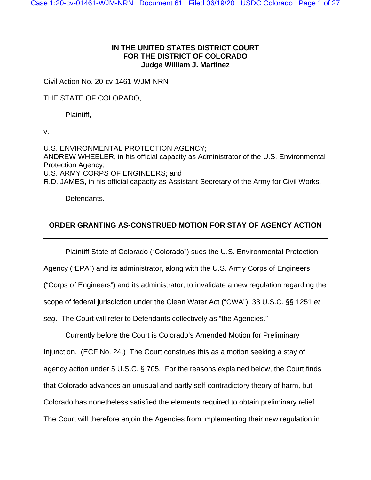# **IN THE UNITED STATES DISTRICT COURT FOR THE DISTRICT OF COLORADO Judge William J. Martínez**

Civil Action No. 20-cv-1461-WJM-NRN

THE STATE OF COLORADO,

Plaintiff,

v.

U.S. ENVIRONMENTAL PROTECTION AGENCY; ANDREW WHEELER, in his official capacity as Administrator of the U.S. Environmental Protection Agency; U.S. ARMY CORPS OF ENGINEERS; and R.D. JAMES, in his official capacity as Assistant Secretary of the Army for Civil Works,

Defendants.

# **ORDER GRANTING AS-CONSTRUED MOTION FOR STAY OF AGENCY ACTION**

Plaintiff State of Colorado ("Colorado") sues the U.S. Environmental Protection Agency ("EPA") and its administrator, along with the U.S. Army Corps of Engineers ("Corps of Engineers") and its administrator, to invalidate a new regulation regarding the scope of federal jurisdiction under the Clean Water Act ("CWA"), 33 U.S.C. §§ 1251 *et seq*. The Court will refer to Defendants collectively as "the Agencies."

Currently before the Court is Colorado's Amended Motion for Preliminary Injunction. (ECF No. 24.) The Court construes this as a motion seeking a stay of agency action under 5 U.S.C. § 705. For the reasons explained below, the Court finds that Colorado advances an unusual and partly self-contradictory theory of harm, but Colorado has nonetheless satisfied the elements required to obtain preliminary relief. The Court will therefore enjoin the Agencies from implementing their new regulation in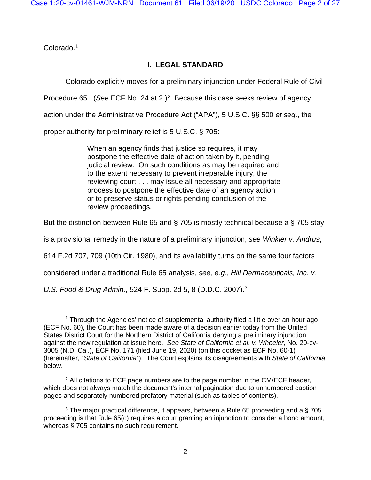Colorado.[1](#page-1-0)

# **I. LEGAL STANDARD**

Colorado explicitly moves for a preliminary injunction under Federal Rule of Civil

Procedure 65. (*See* ECF No. [2](#page-1-1)4 at 2.)<sup>2</sup> Because this case seeks review of agency

action under the Administrative Procedure Act ("APA"), 5 U.S.C. §§ 500 *et seq*., the

proper authority for preliminary relief is 5 U.S.C. § 705:

When an agency finds that justice so requires, it may postpone the effective date of action taken by it, pending judicial review. On such conditions as may be required and to the extent necessary to prevent irreparable injury, the reviewing court . . . may issue all necessary and appropriate process to postpone the effective date of an agency action or to preserve status or rights pending conclusion of the review proceedings.

But the distinction between Rule 65 and § 705 is mostly technical because a § 705 stay

is a provisional remedy in the nature of a preliminary injunction, *see Winkler v. Andrus*,

614 F.2d 707, 709 (10th Cir. 1980), and its availability turns on the same four factors

considered under a traditional Rule 65 analysis, *see, e.g.*, *Hill Dermaceuticals, Inc. v.* 

*U.S. Food & Drug Admin.*, 524 F. Supp. 2d 5, 8 (D.D.C. 2007).[3](#page-1-2)

<span id="page-1-0"></span> $1$  Through the Agencies' notice of supplemental authority filed a little over an hour ago (ECF No. 60), the Court has been made aware of a decision earlier today from the United States District Court for the Northern District of California denying a preliminary injunction against the new regulation at issue here. *See State of California et al. v. Wheeler*, No. 20-cv-3005 (N.D. Cal.), ECF No. 171 (filed June 19, 2020) (on this docket as ECF No. 60-1) (hereinafter, "*State of California*"). The Court explains its disagreements with *State of California* below.

<span id="page-1-1"></span> $<sup>2</sup>$  All citations to ECF page numbers are to the page number in the CM/ECF header,</sup> which does not always match the document's internal pagination due to unnumbered caption pages and separately numbered prefatory material (such as tables of contents).

<span id="page-1-2"></span> $3$  The major practical difference, it appears, between a Rule 65 proceeding and a  $\S$  705 proceeding is that Rule 65(c) requires a court granting an injunction to consider a bond amount, whereas § 705 contains no such requirement.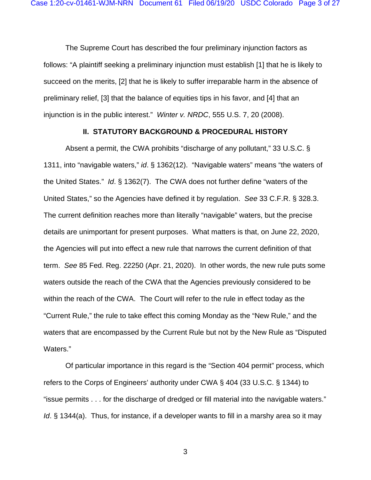The Supreme Court has described the four preliminary injunction factors as follows: "A plaintiff seeking a preliminary injunction must establish [1] that he is likely to succeed on the merits, [2] that he is likely to suffer irreparable harm in the absence of preliminary relief, [3] that the balance of equities tips in his favor, and [4] that an injunction is in the public interest." *Winter v. NRDC*, 555 U.S. 7, 20 (2008).

#### <span id="page-2-0"></span>**II. STATUTORY BACKGROUND & PROCEDURAL HISTORY**

Absent a permit, the CWA prohibits "discharge of any pollutant," 33 U.S.C. § 1311, into "navigable waters," *id*. § 1362(12). "Navigable waters" means "the waters of the United States." *Id*. § 1362(7). The CWA does not further define "waters of the United States," so the Agencies have defined it by regulation. *See* 33 C.F.R. § 328.3. The current definition reaches more than literally "navigable" waters, but the precise details are unimportant for present purposes. What matters is that, on June 22, 2020, the Agencies will put into effect a new rule that narrows the current definition of that term. *See* 85 Fed. Reg. 22250 (Apr. 21, 2020). In other words, the new rule puts some waters outside the reach of the CWA that the Agencies previously considered to be within the reach of the CWA. The Court will refer to the rule in effect today as the "Current Rule," the rule to take effect this coming Monday as the "New Rule," and the waters that are encompassed by the Current Rule but not by the New Rule as "Disputed Waters."

Of particular importance in this regard is the "Section 404 permit" process, which refers to the Corps of Engineers' authority under CWA § 404 (33 U.S.C. § 1344) to "issue permits . . . for the discharge of dredged or fill material into the navigable waters." *Id*. § 1344(a). Thus, for instance, if a developer wants to fill in a marshy area so it may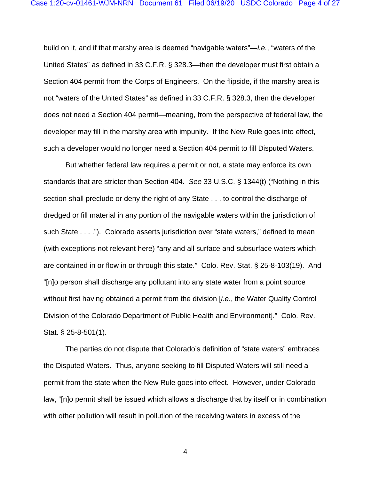build on it, and if that marshy area is deemed "navigable waters"—*i.e.*, "waters of the United States" as defined in 33 C.F.R. § 328.3—then the developer must first obtain a Section 404 permit from the Corps of Engineers. On the flipside, if the marshy area is not "waters of the United States" as defined in 33 C.F.R. § 328.3, then the developer does not need a Section 404 permit—meaning, from the perspective of federal law, the developer may fill in the marshy area with impunity. If the New Rule goes into effect, such a developer would no longer need a Section 404 permit to fill Disputed Waters.

But whether federal law requires a permit or not, a state may enforce its own standards that are stricter than Section 404. *See* 33 U.S.C. § 1344(t) ("Nothing in this section shall preclude or deny the right of any State . . . to control the discharge of dredged or fill material in any portion of the navigable waters within the jurisdiction of such State . . . ."). Colorado asserts jurisdiction over "state waters," defined to mean (with exceptions not relevant here) "any and all surface and subsurface waters which are contained in or flow in or through this state." Colo. Rev. Stat. § 25-8-103(19). And "[n]o person shall discharge any pollutant into any state water from a point source without first having obtained a permit from the division [*i.e.*, the Water Quality Control Division of the Colorado Department of Public Health and Environment]." Colo. Rev. Stat. § 25-8-501(1).

The parties do not dispute that Colorado's definition of "state waters" embraces the Disputed Waters. Thus, anyone seeking to fill Disputed Waters will still need a permit from the state when the New Rule goes into effect. However, under Colorado law, "[n]o permit shall be issued which allows a discharge that by itself or in combination with other pollution will result in pollution of the receiving waters in excess of the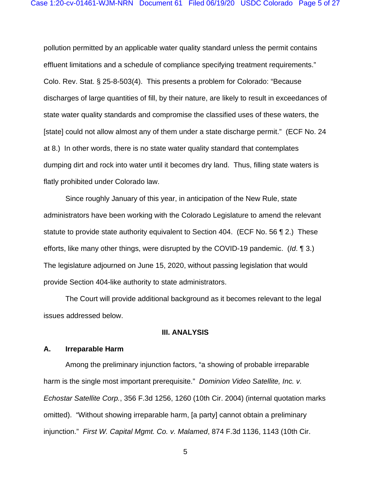pollution permitted by an applicable water quality standard unless the permit contains effluent limitations and a schedule of compliance specifying treatment requirements." Colo. Rev. Stat. § 25-8-503(4). This presents a problem for Colorado: "Because discharges of large quantities of fill, by their nature, are likely to result in exceedances of state water quality standards and compromise the classified uses of these waters, the [state] could not allow almost any of them under a state discharge permit." (ECF No. 24 at 8.) In other words, there is no state water quality standard that contemplates dumping dirt and rock into water until it becomes dry land. Thus, filling state waters is flatly prohibited under Colorado law.

Since roughly January of this year, in anticipation of the New Rule, state administrators have been working with the Colorado Legislature to amend the relevant statute to provide state authority equivalent to Section 404. (ECF No. 56 ¶ 2.) These efforts, like many other things, were disrupted by the COVID-19 pandemic. (*Id*. ¶ 3.) The legislature adjourned on June 15, 2020, without passing legislation that would provide Section 404-like authority to state administrators.

The Court will provide additional background as it becomes relevant to the legal issues addressed below.

#### **III. ANALYSIS**

#### **A. Irreparable Harm**

Among the preliminary injunction factors, "a showing of probable irreparable harm is the single most important prerequisite." *Dominion Video Satellite, Inc. v. Echostar Satellite Corp.*, 356 F.3d 1256, 1260 (10th Cir. 2004) (internal quotation marks omitted). "Without showing irreparable harm, [a party] cannot obtain a preliminary injunction." *First W. Capital Mgmt. Co. v. Malamed*, 874 F.3d 1136, 1143 (10th Cir.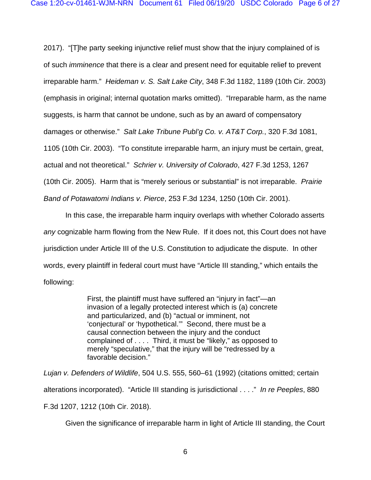2017). "[T]he party seeking injunctive relief must show that the injury complained of is of such *imminence* that there is a clear and present need for equitable relief to prevent irreparable harm." *Heideman v. S. Salt Lake City*, 348 F.3d 1182, 1189 (10th Cir. 2003) (emphasis in original; internal quotation marks omitted). "Irreparable harm, as the name suggests, is harm that cannot be undone, such as by an award of compensatory damages or otherwise." *Salt Lake Tribune Publ'g Co. v. AT&T Corp.*, 320 F.3d 1081, 1105 (10th Cir. 2003). "To constitute irreparable harm, an injury must be certain, great, actual and not theoretical." *Schrier v. University of Colorado*, 427 F.3d 1253, 1267 (10th Cir. 2005). Harm that is "merely serious or substantial" is not irreparable. *Prairie Band of Potawatomi Indians v. Pierce*, 253 F.3d 1234, 1250 (10th Cir. 2001).

In this case, the irreparable harm inquiry overlaps with whether Colorado asserts *any* cognizable harm flowing from the New Rule. If it does not, this Court does not have jurisdiction under Article III of the U.S. Constitution to adjudicate the dispute. In other words, every plaintiff in federal court must have "Article III standing," which entails the following:

> First, the plaintiff must have suffered an "injury in fact"—an invasion of a legally protected interest which is (a) concrete and particularized, and (b) "actual or imminent, not 'conjectural' or 'hypothetical.'" Second, there must be a causal connection between the injury and the conduct complained of . . . . Third, it must be "likely," as opposed to merely "speculative," that the injury will be "redressed by a favorable decision."

*Lujan v. Defenders of Wildlife*, 504 U.S. 555, 560–61 (1992) (citations omitted; certain alterations incorporated). "Article III standing is jurisdictional . . . ." *In re Peeples*, 880 F.3d 1207, 1212 (10th Cir. 2018).

Given the significance of irreparable harm in light of Article III standing, the Court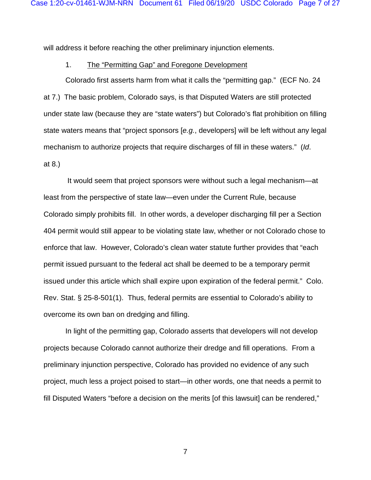will address it before reaching the other preliminary injunction elements.

#### 1. The "Permitting Gap" and Foregone Development

Colorado first asserts harm from what it calls the "permitting gap." (ECF No. 24 at 7.) The basic problem, Colorado says, is that Disputed Waters are still protected under state law (because they are "state waters") but Colorado's flat prohibition on filling state waters means that "project sponsors [*e.g.*, developers] will be left without any legal mechanism to authorize projects that require discharges of fill in these waters." (*Id*. at 8.)

It would seem that project sponsors were without such a legal mechanism—at least from the perspective of state law—even under the Current Rule, because Colorado simply prohibits fill. In other words, a developer discharging fill per a Section 404 permit would still appear to be violating state law, whether or not Colorado chose to enforce that law. However, Colorado's clean water statute further provides that "each permit issued pursuant to the federal act shall be deemed to be a temporary permit issued under this article which shall expire upon expiration of the federal permit." Colo. Rev. Stat. § 25-8-501(1). Thus, federal permits are essential to Colorado's ability to overcome its own ban on dredging and filling.

In light of the permitting gap, Colorado asserts that developers will not develop projects because Colorado cannot authorize their dredge and fill operations. From a preliminary injunction perspective, Colorado has provided no evidence of any such project, much less a project poised to start—in other words, one that needs a permit to fill Disputed Waters "before a decision on the merits [of this lawsuit] can be rendered,"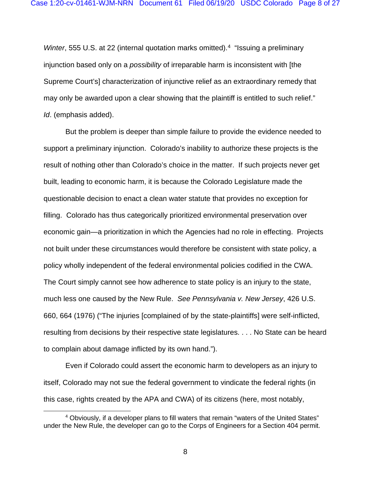*Winter*, 555 U.S. at 22 (internal quotation marks omitted).<sup>4</sup> "Issuing a preliminary injunction based only on a *possibility* of irreparable harm is inconsistent with [the Supreme Court's] characterization of injunctive relief as an extraordinary remedy that may only be awarded upon a clear showing that the plaintiff is entitled to such relief." *Id*. (emphasis added).

But the problem is deeper than simple failure to provide the evidence needed to support a preliminary injunction. Colorado's inability to authorize these projects is the result of nothing other than Colorado's choice in the matter. If such projects never get built, leading to economic harm, it is because the Colorado Legislature made the questionable decision to enact a clean water statute that provides no exception for filling. Colorado has thus categorically prioritized environmental preservation over economic gain—a prioritization in which the Agencies had no role in effecting. Projects not built under these circumstances would therefore be consistent with state policy, a policy wholly independent of the federal environmental policies codified in the CWA. The Court simply cannot see how adherence to state policy is an injury to the state, much less one caused by the New Rule. *See Pennsylvania v. New Jersey*, 426 U.S. 660, 664 (1976) ("The injuries [complained of by the state-plaintiffs] were self-inflicted, resulting from decisions by their respective state legislatures. . . . No State can be heard to complain about damage inflicted by its own hand.").

Even if Colorado could assert the economic harm to developers as an injury to itself, Colorado may not sue the federal government to vindicate the federal rights (in this case, rights created by the APA and CWA) of its citizens (here, most notably,

<span id="page-7-0"></span><sup>4</sup> Obviously, if a developer plans to fill waters that remain "waters of the United States" under the New Rule, the developer can go to the Corps of Engineers for a Section 404 permit.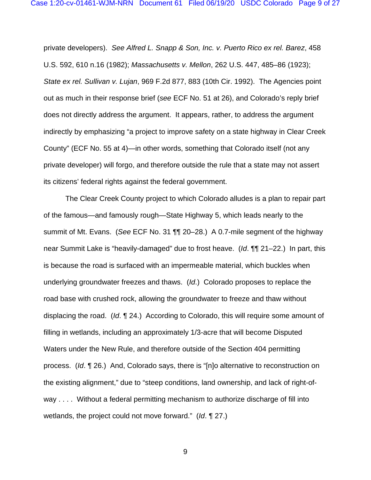private developers). *See Alfred L. Snapp & Son, Inc. v. Puerto Rico ex rel. Barez*, 458 U.S. 592, 610 n.16 (1982); *Massachusetts v. Mellon*, 262 U.S. 447, 485–86 (1923); *State ex rel. Sullivan v. Lujan*, 969 F.2d 877, 883 (10th Cir. 1992). The Agencies point out as much in their response brief (*see* ECF No. 51 at 26), and Colorado's reply brief does not directly address the argument. It appears, rather, to address the argument indirectly by emphasizing "a project to improve safety on a state highway in Clear Creek County" (ECF No. 55 at 4)—in other words, something that Colorado itself (not any private developer) will forgo, and therefore outside the rule that a state may not assert its citizens' federal rights against the federal government.

The Clear Creek County project to which Colorado alludes is a plan to repair part of the famous—and famously rough—State Highway 5, which leads nearly to the summit of Mt. Evans. (*See* ECF No. 31 ¶¶ 20–28.) A 0.7-mile segment of the highway near Summit Lake is "heavily-damaged" due to frost heave. (*Id*. ¶¶ 21–22.) In part, this is because the road is surfaced with an impermeable material, which buckles when underlying groundwater freezes and thaws. (*Id*.) Colorado proposes to replace the road base with crushed rock, allowing the groundwater to freeze and thaw without displacing the road. (*Id*. ¶ 24.) According to Colorado, this will require some amount of filling in wetlands, including an approximately 1/3-acre that will become Disputed Waters under the New Rule, and therefore outside of the Section 404 permitting process. (*Id*. ¶ 26.) And, Colorado says, there is "[n]o alternative to reconstruction on the existing alignment," due to "steep conditions, land ownership, and lack of right-ofway . . . . Without a federal permitting mechanism to authorize discharge of fill into wetlands, the project could not move forward." (*Id*. ¶ 27.)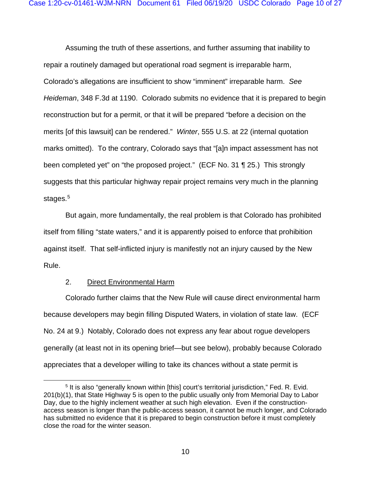Assuming the truth of these assertions, and further assuming that inability to repair a routinely damaged but operational road segment is irreparable harm, Colorado's allegations are insufficient to show "imminent" irreparable harm. *See Heideman*, 348 F.3d at 1190. Colorado submits no evidence that it is prepared to begin reconstruction but for a permit, or that it will be prepared "before a decision on the merits [of this lawsuit] can be rendered." *Winter*, 555 U.S. at 22 (internal quotation marks omitted). To the contrary, Colorado says that "[a]n impact assessment has not been completed yet" on "the proposed project." (ECF No. 31 ¶ 25.) This strongly suggests that this particular highway repair project remains very much in the planning stages.<sup>[5](#page-9-0)</sup>

But again, more fundamentally, the real problem is that Colorado has prohibited itself from filling "state waters," and it is apparently poised to enforce that prohibition against itself. That self-inflicted injury is manifestly not an injury caused by the New Rule.

## 2. Direct Environmental Harm

<span id="page-9-1"></span>Colorado further claims that the New Rule will cause direct environmental harm because developers may begin filling Disputed Waters, in violation of state law. (ECF No. 24 at 9.) Notably, Colorado does not express any fear about rogue developers generally (at least not in its opening brief—but see below), probably because Colorado appreciates that a developer willing to take its chances without a state permit is

<span id="page-9-0"></span><sup>&</sup>lt;sup>5</sup> It is also "generally known within [this] court's territorial jurisdiction," Fed. R. Evid. 201(b)(1), that State Highway 5 is open to the public usually only from Memorial Day to Labor Day, due to the highly inclement weather at such high elevation. Even if the constructionaccess season is longer than the public-access season, it cannot be much longer, and Colorado has submitted no evidence that it is prepared to begin construction before it must completely close the road for the winter season.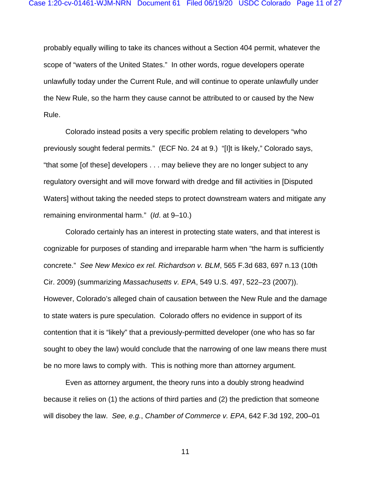probably equally willing to take its chances without a Section 404 permit, whatever the scope of "waters of the United States." In other words, rogue developers operate unlawfully today under the Current Rule, and will continue to operate unlawfully under the New Rule, so the harm they cause cannot be attributed to or caused by the New Rule.

Colorado instead posits a very specific problem relating to developers "who previously sought federal permits." (ECF No. 24 at 9.) "[I]t is likely," Colorado says, "that some [of these] developers . . . may believe they are no longer subject to any regulatory oversight and will move forward with dredge and fill activities in [Disputed Waters] without taking the needed steps to protect downstream waters and mitigate any remaining environmental harm." (*Id*. at 9–10.)

Colorado certainly has an interest in protecting state waters, and that interest is cognizable for purposes of standing and irreparable harm when "the harm is sufficiently concrete." *See New Mexico ex rel. Richardson v. BLM*, 565 F.3d 683, 697 n.13 (10th Cir. 2009) (summarizing *Massachusetts v. EPA*, 549 U.S. 497, 522–23 (2007)). However, Colorado's alleged chain of causation between the New Rule and the damage to state waters is pure speculation. Colorado offers no evidence in support of its contention that it is "likely" that a previously-permitted developer (one who has so far sought to obey the law) would conclude that the narrowing of one law means there must be no more laws to comply with. This is nothing more than attorney argument.

Even as attorney argument, the theory runs into a doubly strong headwind because it relies on (1) the actions of third parties and (2) the prediction that someone will disobey the law. *See, e.g.*, *Chamber of Commerce v. EPA*, 642 F.3d 192, 200–01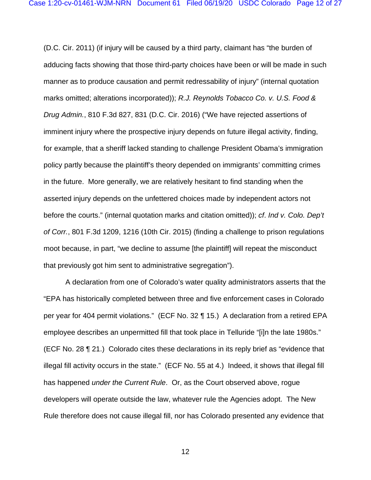(D.C. Cir. 2011) (if injury will be caused by a third party, claimant has "the burden of adducing facts showing that those third-party choices have been or will be made in such manner as to produce causation and permit redressability of injury" (internal quotation marks omitted; alterations incorporated)); *R.J. Reynolds Tobacco Co. v. U.S. Food & Drug Admin.*, 810 F.3d 827, 831 (D.C. Cir. 2016) ("We have rejected assertions of imminent injury where the prospective injury depends on future illegal activity, finding, for example, that a sheriff lacked standing to challenge President Obama's immigration policy partly because the plaintiff's theory depended on immigrants' committing crimes in the future. More generally, we are relatively hesitant to find standing when the asserted injury depends on the unfettered choices made by independent actors not before the courts." (internal quotation marks and citation omitted)); *cf*. *Ind v. Colo. Dep't of Corr.*, 801 F.3d 1209, 1216 (10th Cir. 2015) (finding a challenge to prison regulations moot because, in part, "we decline to assume [the plaintiff] will repeat the misconduct that previously got him sent to administrative segregation").

A declaration from one of Colorado's water quality administrators asserts that the "EPA has historically completed between three and five enforcement cases in Colorado per year for 404 permit violations." (ECF No. 32 ¶ 15.) A declaration from a retired EPA employee describes an unpermitted fill that took place in Telluride "[i]n the late 1980s." (ECF No. 28 ¶ 21.) Colorado cites these declarations in its reply brief as "evidence that illegal fill activity occurs in the state." (ECF No. 55 at 4.) Indeed, it shows that illegal fill has happened *under the Current Rule*. Or, as the Court observed above, rogue developers will operate outside the law, whatever rule the Agencies adopt. The New Rule therefore does not cause illegal fill, nor has Colorado presented any evidence that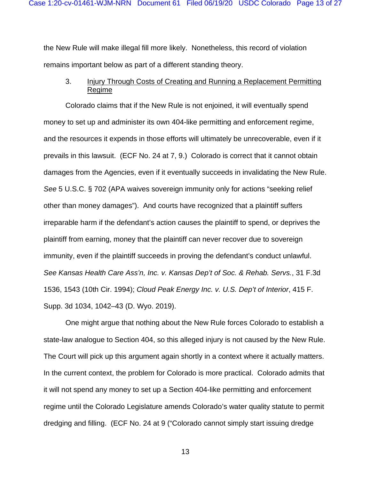the New Rule will make illegal fill more likely. Nonetheless, this record of violation remains important below as part of a different standing theory.

# <span id="page-12-0"></span>3. Injury Through Costs of Creating and Running a Replacement Permitting Regime

Colorado claims that if the New Rule is not enjoined, it will eventually spend money to set up and administer its own 404-like permitting and enforcement regime, and the resources it expends in those efforts will ultimately be unrecoverable, even if it prevails in this lawsuit. (ECF No. 24 at 7, 9.) Colorado is correct that it cannot obtain damages from the Agencies, even if it eventually succeeds in invalidating the New Rule. *See* 5 U.S.C. § 702 (APA waives sovereign immunity only for actions "seeking relief other than money damages"). And courts have recognized that a plaintiff suffers irreparable harm if the defendant's action causes the plaintiff to spend, or deprives the plaintiff from earning, money that the plaintiff can never recover due to sovereign immunity, even if the plaintiff succeeds in proving the defendant's conduct unlawful. *See Kansas Health Care Ass'n, Inc. v. Kansas Dep't of Soc. & Rehab. Servs.*, 31 F.3d 1536, 1543 (10th Cir. 1994); *Cloud Peak Energy Inc. v. U.S. Dep't of Interior*, 415 F. Supp. 3d 1034, 1042–43 (D. Wyo. 2019).

One might argue that nothing about the New Rule forces Colorado to establish a state-law analogue to Section 404, so this alleged injury is not caused by the New Rule. The Court will pick up this argument again shortly in a context where it actually matters. In the current context, the problem for Colorado is more practical. Colorado admits that it will not spend any money to set up a Section 404-like permitting and enforcement regime until the Colorado Legislature amends Colorado's water quality statute to permit dredging and filling. (ECF No. 24 at 9 ("Colorado cannot simply start issuing dredge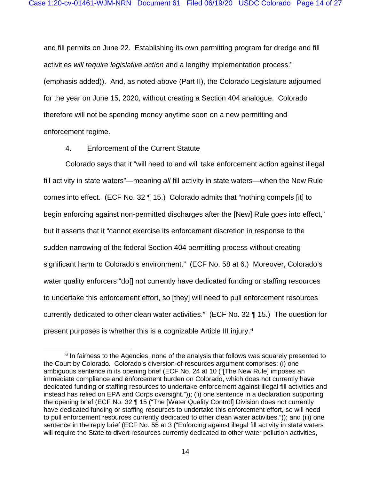and fill permits on June 22. Establishing its own permitting program for dredge and fill activities *will require legislative action* and a lengthy implementation process." (emphasis added)). And, as noted above (Part [II\)](#page-2-0), the Colorado Legislature adjourned for the year on June 15, 2020, without creating a Section 404 analogue. Colorado therefore will not be spending money anytime soon on a new permitting and enforcement regime.

#### 4. Enforcement of the Current Statute

Colorado says that it "will need to and will take enforcement action against illegal fill activity in state waters"—meaning *all* fill activity in state waters—when the New Rule comes into effect. (ECF No. 32 ¶ 15.) Colorado admits that "nothing compels [it] to begin enforcing against non-permitted discharges after the [New] Rule goes into effect," but it asserts that it "cannot exercise its enforcement discretion in response to the sudden narrowing of the federal Section 404 permitting process without creating significant harm to Colorado's environment." (ECF No. 58 at 6.) Moreover, Colorado's water quality enforcers "do[] not currently have dedicated funding or staffing resources to undertake this enforcement effort, so [they] will need to pull enforcement resources currently dedicated to other clean water activities." (ECF No. 32 ¶ 15.) The question for present purposes is whether this is a cognizable Article III injury[.6](#page-13-0)

<span id="page-13-0"></span> $6$  In fairness to the Agencies, none of the analysis that follows was squarely presented to the Court by Colorado. Colorado's diversion-of-resources argument comprises: (i) one ambiguous sentence in its opening brief (ECF No. 24 at 10 ("[The New Rule] imposes an immediate compliance and enforcement burden on Colorado, which does not currently have dedicated funding or staffing resources to undertake enforcement against illegal fill activities and instead has relied on EPA and Corps oversight.")); (ii) one sentence in a declaration supporting the opening brief (ECF No. 32 ¶ 15 ("The [Water Quality Control] Division does not currently have dedicated funding or staffing resources to undertake this enforcement effort, so will need to pull enforcement resources currently dedicated to other clean water activities.")); and (iii) one sentence in the reply brief (ECF No. 55 at 3 ("Enforcing against illegal fill activity in state waters will require the State to divert resources currently dedicated to other water pollution activities,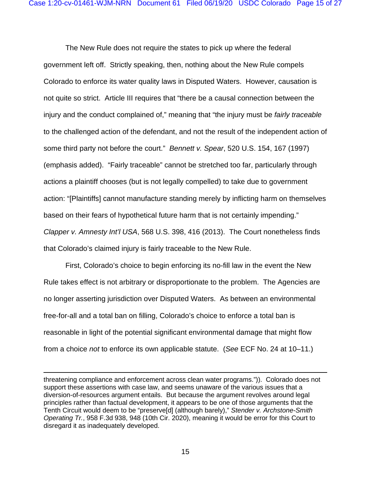The New Rule does not require the states to pick up where the federal government left off. Strictly speaking, then, nothing about the New Rule compels Colorado to enforce its water quality laws in Disputed Waters. However, causation is not quite so strict. Article III requires that "there be a causal connection between the injury and the conduct complained of," meaning that "the injury must be *fairly traceable*  to the challenged action of the defendant, and not the result of the independent action of some third party not before the court." *Bennett v. Spear*, 520 U.S. 154, 167 (1997) (emphasis added). "Fairly traceable" cannot be stretched too far, particularly through actions a plaintiff chooses (but is not legally compelled) to take due to government action: "[Plaintiffs] cannot manufacture standing merely by inflicting harm on themselves based on their fears of hypothetical future harm that is not certainly impending." *Clapper v. Amnesty Int'l USA*, 568 U.S. 398, 416 (2013). The Court nonetheless finds that Colorado's claimed injury is fairly traceable to the New Rule.

First, Colorado's choice to begin enforcing its no-fill law in the event the New Rule takes effect is not arbitrary or disproportionate to the problem. The Agencies are no longer asserting jurisdiction over Disputed Waters. As between an environmental free-for-all and a total ban on filling, Colorado's choice to enforce a total ban is reasonable in light of the potential significant environmental damage that might flow from a choice *not* to enforce its own applicable statute. (*See* ECF No. 24 at 10–11.)

threatening compliance and enforcement across clean water programs.")). Colorado does not support these assertions with case law, and seems unaware of the various issues that a diversion-of-resources argument entails. But because the argument revolves around legal principles rather than factual development, it appears to be one of those arguments that the Tenth Circuit would deem to be "preserve[d] (although barely)," *Stender v. Archstone-Smith Operating Tr.*, 958 F.3d 938, 948 (10th Cir. 2020), meaning it would be error for this Court to disregard it as inadequately developed.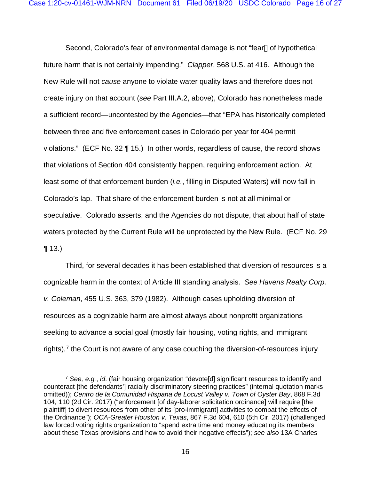Second, Colorado's fear of environmental damage is not "fear[] of hypothetical future harm that is not certainly impending." *Clapper*, 568 U.S. at 416. Although the New Rule will not *cause* anyone to violate water quality laws and therefore does not create injury on that account (*see* Part [III.A.2,](#page-9-1) above), Colorado has nonetheless made a sufficient record—uncontested by the Agencies—that "EPA has historically completed between three and five enforcement cases in Colorado per year for 404 permit violations." (ECF No. 32 ¶ 15.) In other words, regardless of cause, the record shows that violations of Section 404 consistently happen, requiring enforcement action. At least some of that enforcement burden (*i.e.*, filling in Disputed Waters) will now fall in Colorado's lap. That share of the enforcement burden is not at all minimal or speculative. Colorado asserts, and the Agencies do not dispute, that about half of state waters protected by the Current Rule will be unprotected by the New Rule. (ECF No. 29  $\P$  13.)

Third, for several decades it has been established that diversion of resources is a cognizable harm in the context of Article III standing analysis. *See Havens Realty Corp. v. Coleman*, 455 U.S. 363, 379 (1982). Although cases upholding diversion of resources as a cognizable harm are almost always about nonprofit organizations seeking to advance a social goal (mostly fair housing, voting rights, and immigrant rights), $<sup>7</sup>$  $<sup>7</sup>$  $<sup>7</sup>$  the Court is not aware of any case couching the diversion-of-resources injury</sup>

<span id="page-15-0"></span><sup>7</sup> *See, e.g.*, *id*. (fair housing organization "devote[d] significant resources to identify and counteract [the defendants'] racially discriminatory steering practices" (internal quotation marks omitted)); *Centro de la Comunidad Hispana de Locust Valley v. Town of Oyster Bay*, 868 F.3d 104, 110 (2d Cir. 2017) ("enforcement [of day-laborer solicitation ordinance] will require [the plaintiff] to divert resources from other of its [pro-immigrant] activities to combat the effects of the Ordinance"); *OCA-Greater Houston v. Texas*, 867 F.3d 604, 610 (5th Cir. 2017) (challenged law forced voting rights organization to "spend extra time and money educating its members about these Texas provisions and how to avoid their negative effects"); *see also* 13A Charles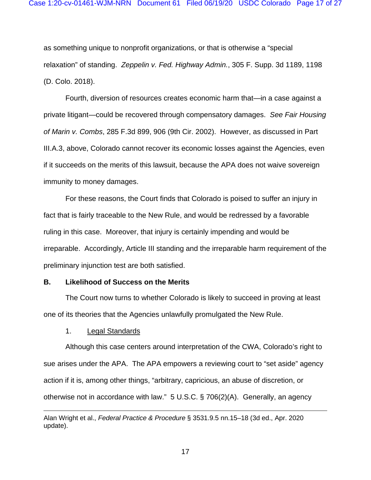as something unique to nonprofit organizations, or that is otherwise a "special relaxation" of standing. *Zeppelin v. Fed. Highway Admin.*, 305 F. Supp. 3d 1189, 1198 (D. Colo. 2018).

Fourth, diversion of resources creates economic harm that—in a case against a private litigant—could be recovered through compensatory damages. *See Fair Housing of Marin v. Combs*, 285 F.3d 899, 906 (9th Cir. 2002). However, as discussed in Part [III.A.3,](#page-12-0) above, Colorado cannot recover its economic losses against the Agencies, even if it succeeds on the merits of this lawsuit, because the APA does not waive sovereign immunity to money damages.

For these reasons, the Court finds that Colorado is poised to suffer an injury in fact that is fairly traceable to the New Rule, and would be redressed by a favorable ruling in this case. Moreover, that injury is certainly impending and would be irreparable. Accordingly, Article III standing and the irreparable harm requirement of the preliminary injunction test are both satisfied.

#### **B. Likelihood of Success on the Merits**

The Court now turns to whether Colorado is likely to succeed in proving at least one of its theories that the Agencies unlawfully promulgated the New Rule.

1. Legal Standards

Although this case centers around interpretation of the CWA, Colorado's right to sue arises under the APA. The APA empowers a reviewing court to "set aside" agency action if it is, among other things, "arbitrary, capricious, an abuse of discretion, or otherwise not in accordance with law." 5 U.S.C. § 706(2)(A). Generally, an agency

Alan Wright et al., *Federal Practice & Procedure* § 3531.9.5 nn.15–18 (3d ed., Apr. 2020 update).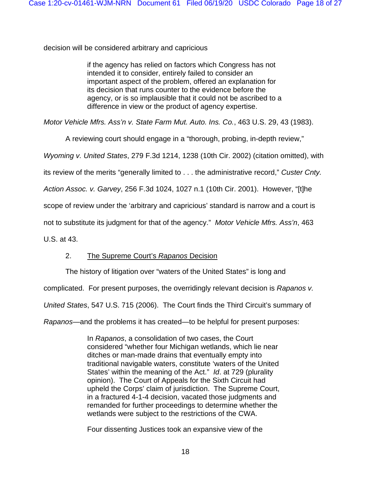decision will be considered arbitrary and capricious

if the agency has relied on factors which Congress has not intended it to consider, entirely failed to consider an important aspect of the problem, offered an explanation for its decision that runs counter to the evidence before the agency, or is so implausible that it could not be ascribed to a difference in view or the product of agency expertise.

*Motor Vehicle Mfrs. Ass'n v. State Farm Mut. Auto. Ins. Co.*, 463 U.S. 29, 43 (1983).

A reviewing court should engage in a "thorough, probing, in-depth review,"

*Wyoming v. United States*, 279 F.3d 1214, 1238 (10th Cir. 2002) (citation omitted), with

its review of the merits "generally limited to . . . the administrative record," *Custer Cnty.* 

*Action Assoc. v. Garvey*, 256 F.3d 1024, 1027 n.1 (10th Cir. 2001). However, "[t]he

scope of review under the 'arbitrary and capricious' standard is narrow and a court is

not to substitute its judgment for that of the agency." *Motor Vehicle Mfrs. Ass'n*, 463

U.S. at 43.

# 2. The Supreme Court's *Rapanos* Decision

The history of litigation over "waters of the United States" is long and

complicated. For present purposes, the overridingly relevant decision is *Rapanos v.* 

*United States*, 547 U.S. 715 (2006). The Court finds the Third Circuit's summary of

*Rapanos*—and the problems it has created—to be helpful for present purposes:

In *Rapanos*, a consolidation of two cases, the Court considered "whether four Michigan wetlands, which lie near ditches or man-made drains that eventually empty into traditional navigable waters, constitute 'waters of the United States' within the meaning of the Act." *Id*. at 729 (plurality opinion). The Court of Appeals for the Sixth Circuit had upheld the Corps' claim of jurisdiction. The Supreme Court, in a fractured 4-1-4 decision, vacated those judgments and remanded for further proceedings to determine whether the wetlands were subject to the restrictions of the CWA.

Four dissenting Justices took an expansive view of the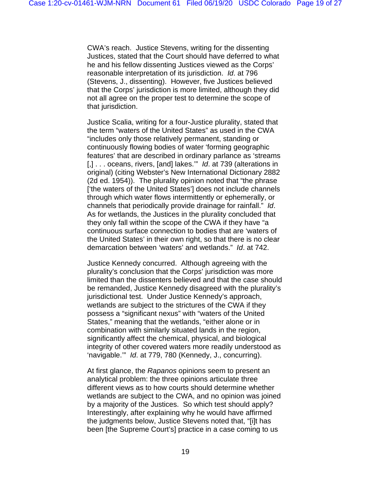CWA's reach. Justice Stevens, writing for the dissenting Justices, stated that the Court should have deferred to what he and his fellow dissenting Justices viewed as the Corps' reasonable interpretation of its jurisdiction. *Id*. at 796 (Stevens, J., dissenting). However, five Justices believed that the Corps' jurisdiction is more limited, although they did not all agree on the proper test to determine the scope of that jurisdiction.

Justice Scalia, writing for a four-Justice plurality, stated that the term "waters of the United States" as used in the CWA "includes only those relatively permanent, standing or continuously flowing bodies of water 'forming geographic features' that are described in ordinary parlance as 'streams [,] . . . oceans, rivers, [and] lakes.'" *Id*. at 739 (alterations in original) (citing Webster's New International Dictionary 2882 (2d ed. 1954)). The plurality opinion noted that "the phrase ['the waters of the United States'] does not include channels through which water flows intermittently or ephemerally, or channels that periodically provide drainage for rainfall." *Id*. As for wetlands, the Justices in the plurality concluded that they only fall within the scope of the CWA if they have "a continuous surface connection to bodies that are 'waters of the United States' in their own right, so that there is no clear demarcation between 'waters' and wetlands." *Id*. at 742.

Justice Kennedy concurred. Although agreeing with the plurality's conclusion that the Corps' jurisdiction was more limited than the dissenters believed and that the case should be remanded, Justice Kennedy disagreed with the plurality's jurisdictional test. Under Justice Kennedy's approach, wetlands are subject to the strictures of the CWA if they possess a "significant nexus" with "waters of the United States," meaning that the wetlands, "either alone or in combination with similarly situated lands in the region, significantly affect the chemical, physical, and biological integrity of other covered waters more readily understood as 'navigable.'" *Id*. at 779, 780 (Kennedy, J., concurring).

At first glance, the *Rapanos* opinions seem to present an analytical problem: the three opinions articulate three different views as to how courts should determine whether wetlands are subject to the CWA, and no opinion was joined by a majority of the Justices. So which test should apply? Interestingly, after explaining why he would have affirmed the judgments below, Justice Stevens noted that, "[i]t has been [the Supreme Court's] practice in a case coming to us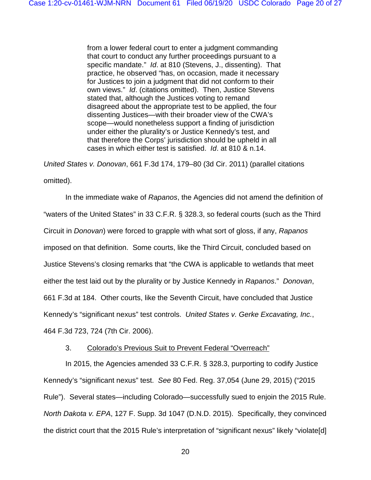from a lower federal court to enter a judgment commanding that court to conduct any further proceedings pursuant to a specific mandate." *Id*. at 810 (Stevens, J., dissenting). That practice, he observed "has, on occasion, made it necessary for Justices to join a judgment that did not conform to their own views." *Id*. (citations omitted). Then, Justice Stevens stated that, although the Justices voting to remand disagreed about the appropriate test to be applied, the four dissenting Justices—with their broader view of the CWA's scope—would nonetheless support a finding of jurisdiction under either the plurality's or Justice Kennedy's test, and that therefore the Corps' jurisdiction should be upheld in all cases in which either test is satisfied. *Id*. at 810 & n.14.

*United States v. Donovan*, 661 F.3d 174, 179–80 (3d Cir. 2011) (parallel citations omitted).

In the immediate wake of *Rapanos*, the Agencies did not amend the definition of "waters of the United States" in 33 C.F.R. § 328.3, so federal courts (such as the Third Circuit in *Donovan*) were forced to grapple with what sort of gloss, if any, *Rapanos* imposed on that definition. Some courts, like the Third Circuit, concluded based on Justice Stevens's closing remarks that "the CWA is applicable to wetlands that meet either the test laid out by the plurality or by Justice Kennedy in *Rapanos*." *Donovan*, 661 F.3d at 184. Other courts, like the Seventh Circuit, have concluded that Justice Kennedy's "significant nexus" test controls. *United States v. Gerke Excavating, Inc.*, 464 F.3d 723, 724 (7th Cir. 2006).

## 3. Colorado's Previous Suit to Prevent Federal "Overreach"

<span id="page-19-0"></span>In 2015, the Agencies amended 33 C.F.R. § 328.3, purporting to codify Justice Kennedy's "significant nexus" test. *See* 80 Fed. Reg. 37,054 (June 29, 2015) ("2015 Rule"). Several states—including Colorado—successfully sued to enjoin the 2015 Rule. *North Dakota v. EPA*, 127 F. Supp. 3d 1047 (D.N.D. 2015). Specifically, they convinced the district court that the 2015 Rule's interpretation of "significant nexus" likely "violate[d]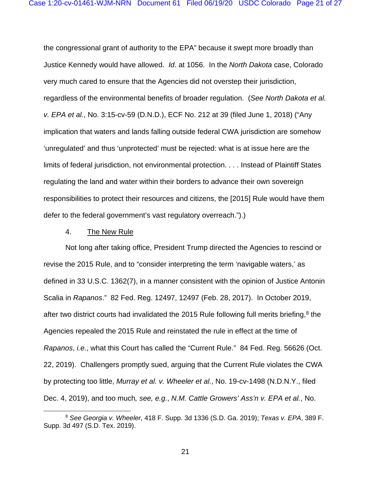the congressional grant of authority to the EPA" because it swept more broadly than Justice Kennedy would have allowed. *Id*. at 1056. In the *North Dakota* case, Colorado very much cared to ensure that the Agencies did not overstep their jurisdiction, regardless of the environmental benefits of broader regulation. (*See North Dakota et al. v. EPA et al.*, No. 3:15-cv-59 (D.N.D.), ECF No. 212 at 39 (filed June 1, 2018) ("Any implication that waters and lands falling outside federal CWA jurisdiction are somehow 'unregulated' and thus 'unprotected' must be rejected: what is at issue here are the limits of federal jurisdiction, not environmental protection. . . . Instead of Plaintiff States regulating the land and water within their borders to advance their own sovereign responsibilities to protect their resources and citizens, the [2015] Rule would have them defer to the federal government's vast regulatory overreach.").)

#### 4. The New Rule

Not long after taking office, President Trump directed the Agencies to rescind or revise the 2015 Rule, and to "consider interpreting the term 'navigable waters,' as defined in 33 U.S.C. 1362(7), in a manner consistent with the opinion of Justice Antonin Scalia in *Rapanos*." 82 Fed. Reg. 12497, 12497 (Feb. 28, 2017). In October 2019, after two district courts had invalidated the 2015 Rule following full merits briefing, $8$  the Agencies repealed the 2015 Rule and reinstated the rule in effect at the time of *Rapanos*, *i.e.*, what this Court has called the "Current Rule." 84 Fed. Reg. 56626 (Oct. 22, 2019). Challengers promptly sued, arguing that the Current Rule violates the CWA by protecting too little, *Murray et al. v. Wheeler et al.*, No. 19-cv-1498 (N.D.N.Y., filed Dec. 4, 2019), and too much*, see, e.g.*, *N.M. Cattle Growers' Ass'n v. EPA et al.*, No.

<span id="page-20-0"></span><sup>8</sup> *See Georgia v. Wheeler*, 418 F. Supp. 3d 1336 (S.D. Ga. 2019); *Texas v. EPA*, 389 F. Supp. 3d 497 (S.D. Tex. 2019).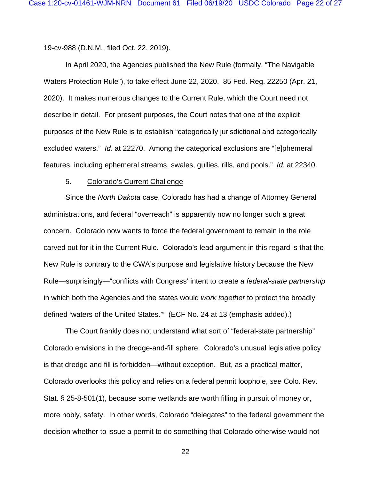19-cv-988 (D.N.M., filed Oct. 22, 2019).

In April 2020, the Agencies published the New Rule (formally, "The Navigable Waters Protection Rule"), to take effect June 22, 2020. 85 Fed. Reg. 22250 (Apr. 21, 2020). It makes numerous changes to the Current Rule, which the Court need not describe in detail. For present purposes, the Court notes that one of the explicit purposes of the New Rule is to establish "categorically jurisdictional and categorically excluded waters." *Id*. at 22270. Among the categorical exclusions are "[e]phemeral features, including ephemeral streams, swales, gullies, rills, and pools." *Id*. at 22340.

#### 5. Colorado's Current Challenge

Since the *North Dakota* case, Colorado has had a change of Attorney General administrations, and federal "overreach" is apparently now no longer such a great concern. Colorado now wants to force the federal government to remain in the role carved out for it in the Current Rule. Colorado's lead argument in this regard is that the New Rule is contrary to the CWA's purpose and legislative history because the New Rule—surprisingly—"conflicts with Congress' intent to create *a federal-state partnership* in which both the Agencies and the states would *work together* to protect the broadly defined 'waters of the United States.'" (ECF No. 24 at 13 (emphasis added).)

The Court frankly does not understand what sort of "federal-state partnership" Colorado envisions in the dredge-and-fill sphere. Colorado's unusual legislative policy is that dredge and fill is forbidden—without exception. But, as a practical matter, Colorado overlooks this policy and relies on a federal permit loophole, *see* Colo. Rev. Stat. § 25-8-501(1), because some wetlands are worth filling in pursuit of money or, more nobly, safety. In other words, Colorado "delegates" to the federal government the decision whether to issue a permit to do something that Colorado otherwise would not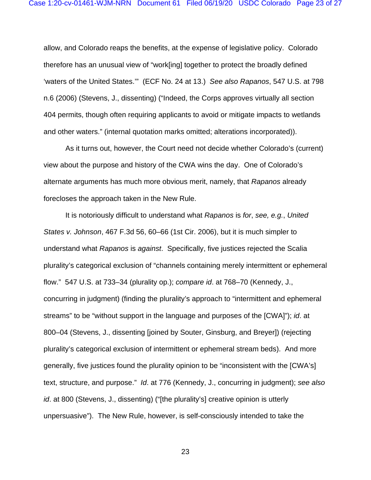allow, and Colorado reaps the benefits, at the expense of legislative policy. Colorado therefore has an unusual view of "work[ing] together to protect the broadly defined 'waters of the United States.'" (ECF No. 24 at 13.) *See also Rapanos*, 547 U.S. at 798 n.6 (2006) (Stevens, J., dissenting) ("Indeed, the Corps approves virtually all section 404 permits, though often requiring applicants to avoid or mitigate impacts to wetlands and other waters." (internal quotation marks omitted; alterations incorporated)).

As it turns out, however, the Court need not decide whether Colorado's (current) view about the purpose and history of the CWA wins the day. One of Colorado's alternate arguments has much more obvious merit, namely, that *Rapanos* already forecloses the approach taken in the New Rule.

It is notoriously difficult to understand what *Rapanos* is *for*, *see, e.g.*, *United States v. Johnson*, 467 F.3d 56, 60–66 (1st Cir. 2006), but it is much simpler to understand what *Rapanos* is *against*. Specifically, five justices rejected the Scalia plurality's categorical exclusion of "channels containing merely intermittent or ephemeral flow." 547 U.S. at 733–34 (plurality op.); *compare id*. at 768–70 (Kennedy, J., concurring in judgment) (finding the plurality's approach to "intermittent and ephemeral streams" to be "without support in the language and purposes of the [CWA]"); *id*. at 800–04 (Stevens, J., dissenting [joined by Souter, Ginsburg, and Breyer]) (rejecting plurality's categorical exclusion of intermittent or ephemeral stream beds). And more generally, five justices found the plurality opinion to be "inconsistent with the [CWA's] text, structure, and purpose." *Id*. at 776 (Kennedy, J., concurring in judgment); *see also id*. at 800 (Stevens, J., dissenting) ("[the plurality's] creative opinion is utterly unpersuasive"). The New Rule, however, is self-consciously intended to take the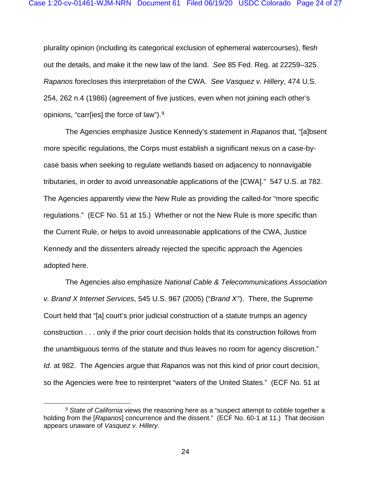plurality opinion (including its categorical exclusion of ephemeral watercourses), flesh out the details, and make it the new law of the land. *See* 85 Fed. Reg. at 22259–325. *Rapanos* forecloses this interpretation of the CWA. *See Vasquez v. Hillery*, 474 U.S. 254, 262 n.4 (1986) (agreement of five justices, even when not joining each other's opinions, "carr[ies] the force of law").[9](#page-23-0)

The Agencies emphasize Justice Kennedy's statement in *Rapanos* that, "[a]bsent more specific regulations, the Corps must establish a significant nexus on a case-bycase basis when seeking to regulate wetlands based on adjacency to nonnavigable tributaries, in order to avoid unreasonable applications of the [CWA]." 547 U.S. at 782. The Agencies apparently view the New Rule as providing the called-for "more specific regulations." (ECF No. 51 at 15.) Whether or not the New Rule is more specific than the Current Rule, or helps to avoid unreasonable applications of the CWA, Justice Kennedy and the dissenters already rejected the specific approach the Agencies adopted here.

The Agencies also emphasize *National Cable & Telecommunications Association v. Brand X Internet Services*, 545 U.S. 967 (2005) ("*Brand X*"). There, the Supreme Court held that "[a] court's prior judicial construction of a statute trumps an agency construction . . . only if the prior court decision holds that its construction follows from the unambiguous terms of the statute and thus leaves no room for agency discretion." *Id*. at 982. The Agencies argue that *Rapanos* was not this kind of prior court decision, so the Agencies were free to reinterpret "waters of the United States." (ECF No. 51 at

<span id="page-23-0"></span><sup>&</sup>lt;sup>9</sup> State of California views the reasoning here as a "suspect attempt to cobble together a holding from the [*Rapanos*] concurrence and the dissent." (ECF No. 60-1 at 11.) That decision appears unaware of *Vasquez v. Hillery*.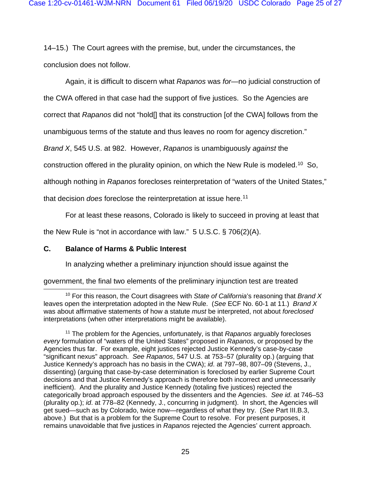14–15.) The Court agrees with the premise, but, under the circumstances, the conclusion does not follow.

Again, it is difficult to discern what *Rapanos* was *for*—no judicial construction of

the CWA offered in that case had the support of five justices. So the Agencies are

correct that *Rapanos* did not "hold[] that its construction [of the CWA] follows from the

unambiguous terms of the statute and thus leaves no room for agency discretion."

*Brand X*, 545 U.S. at 982. However, *Rapanos* is unambiguously *against* the

construction offered in the plurality opinion, on which the New Rule is modeled[.10](#page-24-0) So,

although nothing in *Rapanos* forecloses reinterpretation of "waters of the United States,"

that decision *does* foreclose the reinterpretation at issue here.[11](#page-24-1)

For at least these reasons, Colorado is likely to succeed in proving at least that

the New Rule is "not in accordance with law." 5 U.S.C. § 706(2)(A).

# **C. Balance of Harms & Public Interest**

In analyzing whether a preliminary injunction should issue against the

government, the final two elements of the preliminary injunction test are treated

<span id="page-24-0"></span><sup>10</sup> For this reason, the Court disagrees with *State of California*'s reasoning that *Brand X* leaves open the interpretation adopted in the New Rule. (*See* ECF No. 60-1 at 11.) *Brand X* was about affirmative statements of how a statute *must* be interpreted, not about *foreclosed* interpretations (when other interpretations might be available).

<span id="page-24-1"></span><sup>11</sup> The problem for the Agencies, unfortunately, is that *Rapanos* arguably forecloses *every* formulation of "waters of the United States" proposed in *Rapanos*, or proposed by the Agencies thus far. For example, eight justices rejected Justice Kennedy's case-by-case "significant nexus" approach. *See Rapanos*, 547 U.S. at 753–57 (plurality op.) (arguing that Justice Kennedy's approach has no basis in the CWA); *id*. at 797–98, 807–09 (Stevens, J., dissenting) (arguing that case-by-case determination is foreclosed by earlier Supreme Court decisions and that Justice Kennedy's approach is therefore both incorrect and unnecessarily inefficient). And the plurality and Justice Kennedy (totaling five justices) rejected the categorically broad approach espoused by the dissenters and the Agencies. *See id*. at 746–53 (plurality op.); *id*. at 778–82 (Kennedy, J., concurring in judgment). In short, the Agencies will get sued—such as by Colorado, twice now—regardless of what they try. (*See* Part [III.B.3,](#page-19-0) above.) But that is a problem for the Supreme Court to resolve. For present purposes, it remains unavoidable that five justices in *Rapanos* rejected the Agencies' current approach.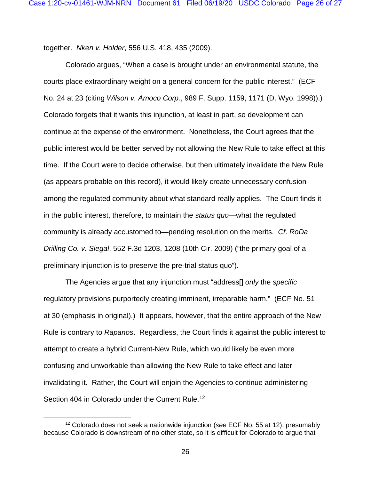together. *Nken v. Holder*, 556 U.S. 418, 435 (2009).

Colorado argues, "When a case is brought under an environmental statute, the courts place extraordinary weight on a general concern for the public interest." (ECF No. 24 at 23 (citing *Wilson v. Amoco Corp.*, 989 F. Supp. 1159, 1171 (D. Wyo. 1998)).) Colorado forgets that it wants this injunction, at least in part, so development can continue at the expense of the environment. Nonetheless, the Court agrees that the public interest would be better served by not allowing the New Rule to take effect at this time. If the Court were to decide otherwise, but then ultimately invalidate the New Rule (as appears probable on this record), it would likely create unnecessary confusion among the regulated community about what standard really applies. The Court finds it in the public interest, therefore, to maintain the *status quo*—what the regulated community is already accustomed to—pending resolution on the merits. *Cf*. *RoDa Drilling Co. v. Siegal*, 552 F.3d 1203, 1208 (10th Cir. 2009) ("the primary goal of a preliminary injunction is to preserve the pre-trial status quo").

The Agencies argue that any injunction must "address[] *only* the *specific* regulatory provisions purportedly creating imminent, irreparable harm." (ECF No. 51 at 30 (emphasis in original).) It appears, however, that the entire approach of the New Rule is contrary to *Rapanos*. Regardless, the Court finds it against the public interest to attempt to create a hybrid Current-New Rule, which would likely be even more confusing and unworkable than allowing the New Rule to take effect and later invalidating it. Rather, the Court will enjoin the Agencies to continue administering Section 404 in Colorado under the Current Rule.<sup>[12](#page-25-0)</sup>

<span id="page-25-0"></span><sup>12</sup> Colorado does not seek a nationwide injunction (*see* ECF No. 55 at 12), presumably because Colorado is downstream of no other state, so it is difficult for Colorado to argue that